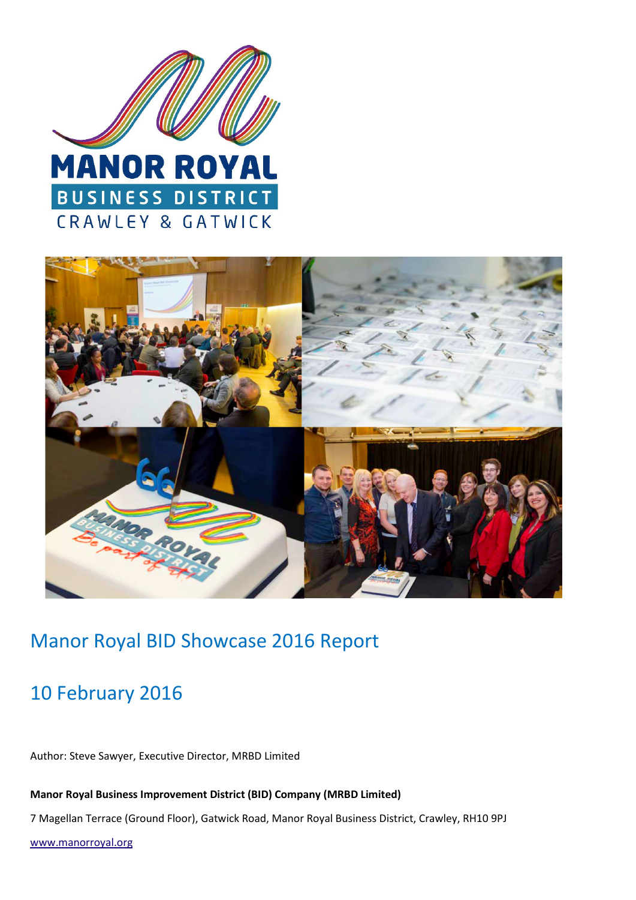



### Manor Royal BID Showcase 2016 Report

### 10 February 2016

Author: Steve Sawyer, Executive Director, MRBD Limited

**Manor Royal Business Improvement District (BID) Company (MRBD Limited)** 

7 Magellan Terrace (Ground Floor), Gatwick Road, Manor Royal Business District, Crawley, RH10 9PJ

www.manorroyal.org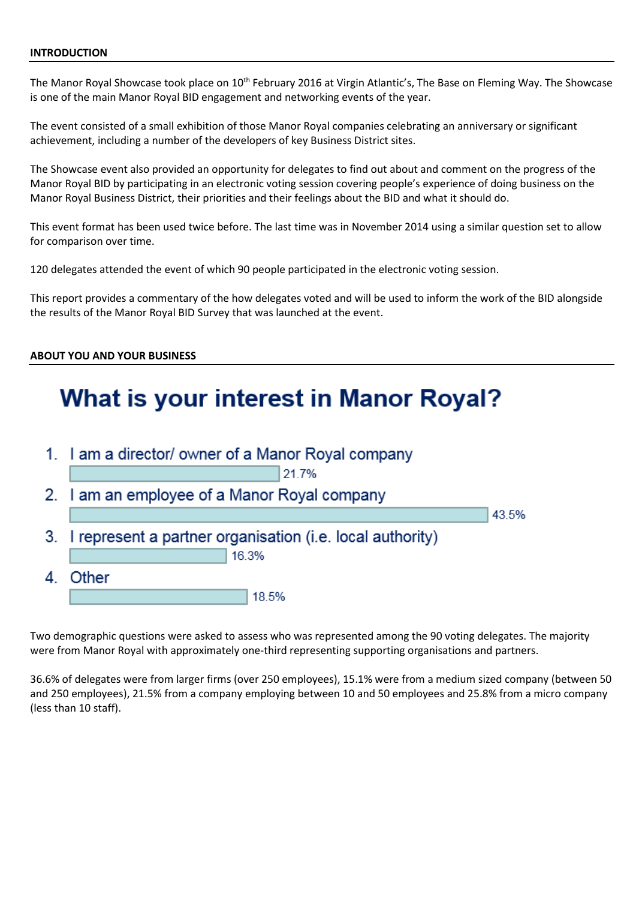#### **INTRODUCTION**

The Manor Royal Showcase took place on 10<sup>th</sup> February 2016 at Virgin Atlantic's, The Base on Fleming Way. The Showcase is one of the main Manor Royal BID engagement and networking events of the year.

The event consisted of a small exhibition of those Manor Royal companies celebrating an anniversary or significant achievement, including a number of the developers of key Business District sites.

The Showcase event also provided an opportunity for delegates to find out about and comment on the progress of the Manor Royal BID by participating in an electronic voting session covering people's experience of doing business on the Manor Royal Business District, their priorities and their feelings about the BID and what it should do.

This event format has been used twice before. The last time was in November 2014 using a similar question set to allow for comparison over time.

120 delegates attended the event of which 90 people participated in the electronic voting session.

This report provides a commentary of the how delegates voted and will be used to inform the work of the BID alongside the results of the Manor Royal BID Survey that was launched at the event.

#### **ABOUT YOU AND YOUR BUSINESS**

## **What is your interest in Manor Royal?**

|    | 1. I am a director/ owner of a Manor Royal company           |       |  |  |
|----|--------------------------------------------------------------|-------|--|--|
|    | 21.7%                                                        |       |  |  |
|    | 2. I am an employee of a Manor Royal company                 |       |  |  |
|    |                                                              | 43.5% |  |  |
|    | 3. I represent a partner organisation (i.e. local authority) |       |  |  |
|    | 16.3%                                                        |       |  |  |
| 4. | Other                                                        |       |  |  |
|    | 18.5%                                                        |       |  |  |

Two demographic questions were asked to assess who was represented among the 90 voting delegates. The majority were from Manor Royal with approximately one-third representing supporting organisations and partners.

36.6% of delegates were from larger firms (over 250 employees), 15.1% were from a medium sized company (between 50 and 250 employees), 21.5% from a company employing between 10 and 50 employees and 25.8% from a micro company (less than 10 staff).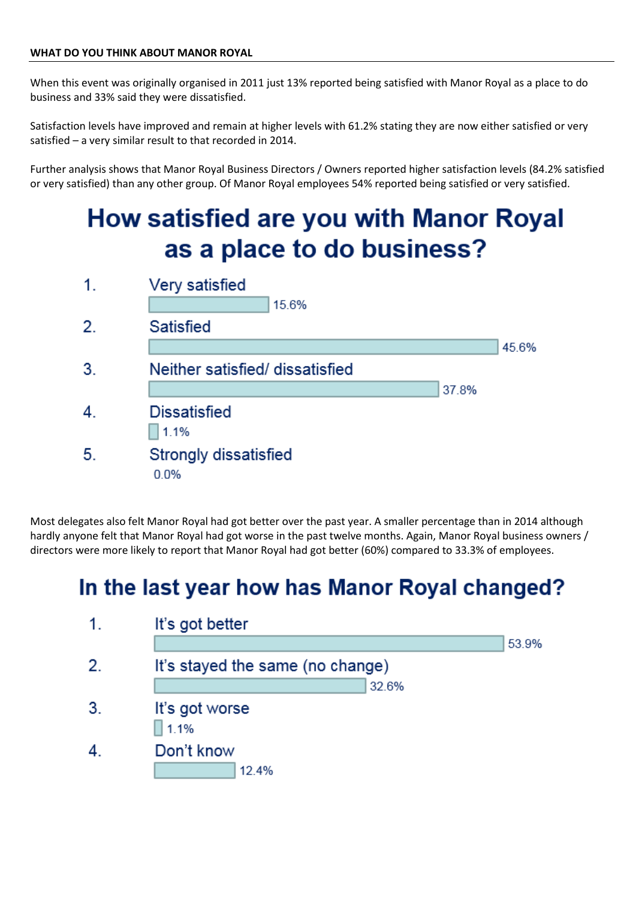When this event was originally organised in 2011 just 13% reported being satisfied with Manor Royal as a place to do business and 33% said they were dissatisfied.

Satisfaction levels have improved and remain at higher levels with 61.2% stating they are now either satisfied or very satisfied – a very similar result to that recorded in 2014.

Further analysis shows that Manor Royal Business Directors / Owners reported higher satisfaction levels (84.2% satisfied or very satisfied) than any other group. Of Manor Royal employees 54% reported being satisfied or very satisfied.

# **How satisfied are you with Manor Royal** as a place to do business?



Most delegates also felt Manor Royal had got better over the past year. A smaller percentage than in 2014 although hardly anyone felt that Manor Royal had got worse in the past twelve months. Again, Manor Royal business owners / directors were more likely to report that Manor Royal had got better (60%) compared to 33.3% of employees.

## In the last year how has Manor Royal changed?

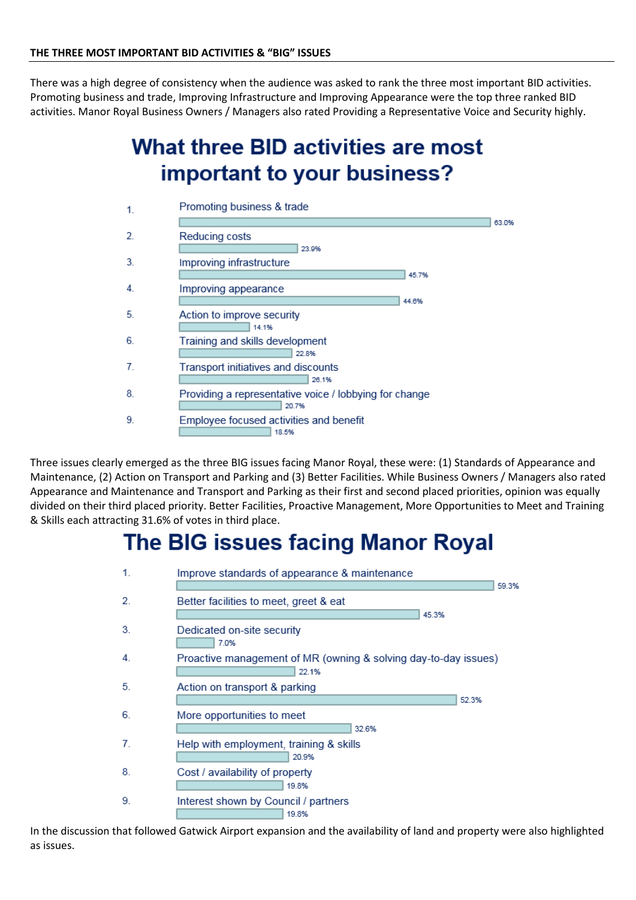There was a high degree of consistency when the audience was asked to rank the three most important BID activities. Promoting business and trade, Improving Infrastructure and Improving Appearance were the top three ranked BID activities. Manor Royal Business Owners / Managers also rated Providing a Representative Voice and Security highly.

## What three BID activities are most important to your business?



Three issues clearly emerged as the three BIG issues facing Manor Royal, these were: (1) Standards of Appearance and Maintenance, (2) Action on Transport and Parking and (3) Better Facilities. While Business Owners / Managers also rated Appearance and Maintenance and Transport and Parking as their first and second placed priorities, opinion was equally divided on their third placed priority. Better Facilities, Proactive Management, More Opportunities to Meet and Training & Skills each attracting 31.6% of votes in third place.

## The BIG issues facing Manor Royal



In the discussion that followed Gatwick Airport expansion and the availability of land and property were also highlighted as issues.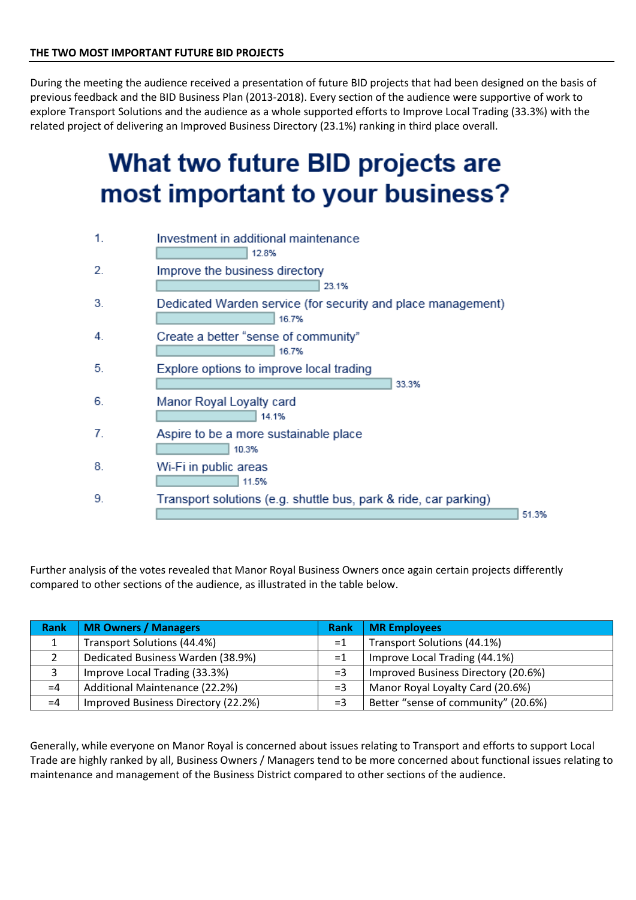During the meeting the audience received a presentation of future BID projects that had been designed on the basis of previous feedback and the BID Business Plan (2013-2018). Every section of the audience were supportive of work to explore Transport Solutions and the audience as a whole supported efforts to Improve Local Trading (33.3%) with the related project of delivering an Improved Business Directory (23.1%) ranking in third place overall.

# What two future BID projects are most important to your business?



Further analysis of the votes revealed that Manor Royal Business Owners once again certain projects differently compared to other sections of the audience, as illustrated in the table below.

| <b>Rank</b> | MR Owners / Managers                | <b>Rank</b> | <b>MR Employees</b>                 |
|-------------|-------------------------------------|-------------|-------------------------------------|
|             | Transport Solutions (44.4%)         | $=1$        | Transport Solutions (44.1%)         |
|             | Dedicated Business Warden (38.9%)   | $=1$        | Improve Local Trading (44.1%)       |
|             | Improve Local Trading (33.3%)       | $=$ 3       | Improved Business Directory (20.6%) |
| $=4$        | Additional Maintenance (22.2%)      | $=$ 3       | Manor Royal Loyalty Card (20.6%)    |
| $=4$        | Improved Business Directory (22.2%) | $=$ 3       | Better "sense of community" (20.6%) |

Generally, while everyone on Manor Royal is concerned about issues relating to Transport and efforts to support Local Trade are highly ranked by all, Business Owners / Managers tend to be more concerned about functional issues relating to maintenance and management of the Business District compared to other sections of the audience.